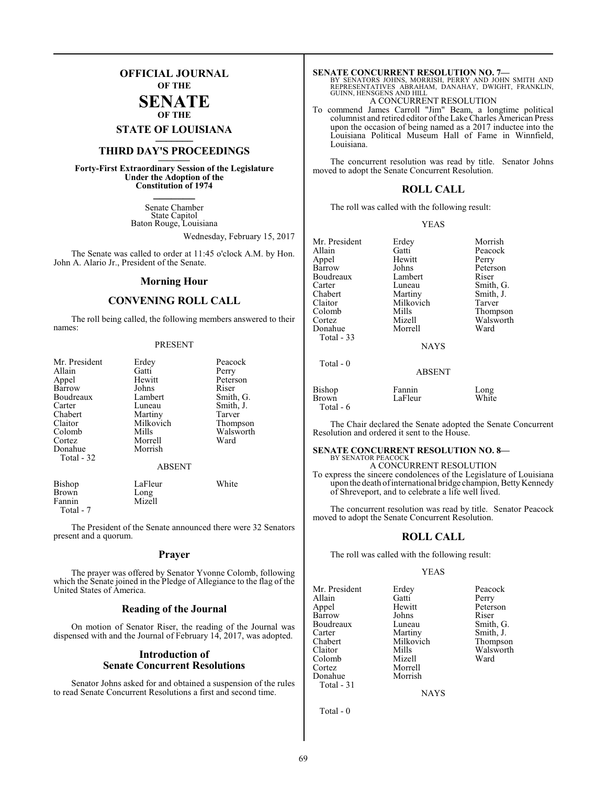### **OFFICIAL JOURNAL OF THE**

### **SENATE OF THE**

## **STATE OF LOUISIANA \_\_\_\_\_\_\_**

### **THIRD DAY'S PROCEEDINGS \_\_\_\_\_\_\_**

**Forty-First Extraordinary Session of the Legislature Under the Adoption of the Constitution of 1974 \_\_\_\_\_\_\_**

> Senate Chamber State Capitol Baton Rouge, Louisiana

> > Wednesday, February 15, 2017

The Senate was called to order at 11:45 o'clock A.M. by Hon. John A. Alario Jr., President of the Senate.

### **Morning Hour**

### **CONVENING ROLL CALL**

The roll being called, the following members answered to their names:

### PRESENT

| Mr. President<br>Allain<br>Appel<br>Barrow<br>Boudreaux<br>Carter<br>Chabert<br>Claitor<br>Colomb<br>Cortez<br>Donahue<br>Total - 32 | Erdey<br>Gatti<br>Hewitt<br>Johns<br>Lambert<br>Luneau<br>Martiny<br>Milkovich<br>Mills<br>Morrell<br>Morrish<br><b>ABSENT</b> | Peacock<br>Perry<br>Peterson<br>Riser<br>Smith, G.<br>Smith, J.<br>Tarver<br>Thompson<br>Walsworth<br>Ward |
|--------------------------------------------------------------------------------------------------------------------------------------|--------------------------------------------------------------------------------------------------------------------------------|------------------------------------------------------------------------------------------------------------|
| Bishop<br><b>Brown</b><br>Fannin                                                                                                     | LaFleur<br>Long<br>Mizell                                                                                                      | White                                                                                                      |

Total - 7

The President of the Senate announced there were 32 Senators present and a quorum.

### **Prayer**

The prayer was offered by Senator Yvonne Colomb, following which the Senate joined in the Pledge of Allegiance to the flag of the United States of America.

### **Reading of the Journal**

On motion of Senator Riser, the reading of the Journal was dispensed with and the Journal of February 14, 2017, was adopted.

### **Introduction of Senate Concurrent Resolutions**

Senator Johns asked for and obtained a suspension of the rules to read Senate Concurrent Resolutions a first and second time.

### **SENATE CONCURRENT RESOLUTION NO. 7—**

BY SENATORS JOHNS, MORRISH, PERRY AND JOHN SMITH AND<br>REPRESENTATIVES ABRAHAM, DANAHAY, DWIGHT, FRANKLIN,<br>GUINN,HENSGENS AND HILL

### A CONCURRENT RESOLUTION

To commend James Carroll "Jim" Beam, a longtime political columnist and retired editor of the Lake Charles American Press upon the occasion of being named as a 2017 inductee into the Louisiana Political Museum Hall of Fame in Winnfield, Louisiana.

The concurrent resolution was read by title. Senator Johns moved to adopt the Senate Concurrent Resolution.

### **ROLL CALL**

The roll was called with the following result:

|--|--|

| Mr. President | Erdey       | Morrish   |
|---------------|-------------|-----------|
|               |             |           |
| Allain        | Gatti       | Peacock   |
| Appel         | Hewitt      | Perry     |
| Barrow        | Johns       | Peterson  |
| Boudreaux     | Lambert     | Riser     |
| Carter        | Luneau      | Smith, G. |
| Chabert       | Martiny     | Smith, J. |
| Claitor       | Milkovich   | Tarver    |
| Colomb        | Mills       | Thompson  |
| Cortez        | Mizell      | Walsworth |
| Donahue       | Morrell     | Ward      |
| Total - 33    |             |           |
|               | <b>NAYS</b> |           |
| Total - 0     |             |           |

|                                | ADJLI 1           |               |
|--------------------------------|-------------------|---------------|
| Bishop<br>Brown<br>Total - $6$ | Fannin<br>LaFleur | Long<br>White |

The Chair declared the Senate adopted the Senate Concurrent Resolution and ordered it sent to the House.

ABSENT

### **SENATE CONCURRENT RESOLUTION NO. 8—** BY SENATOR PEACOCK

A CONCURRENT RESOLUTION To express the sincere condolences of the Legislature of Louisiana upon the death of international bridge champion, Betty Kennedy of Shreveport, and to celebrate a life well lived.

The concurrent resolution was read by title. Senator Peacock moved to adopt the Senate Concurrent Resolution.

### **ROLL CALL**

The roll was called with the following result:

Milkovich

Morrell

### YEAS

Mr. President Erdey Peacock<br>Allain Gatti Perry Allain Gatti<br>
Appel Hewitt Barrow Boudreaux Luneau Smith, G.<br>
Carter Martiny Smith, J. Carter Martiny Smith, J.<br>Chabert Milkovich Thompson Claitor Mills Walsworth Colomb<br>Cortez Donahue Morrish Total - 31

Hewitt Peterson<br>
Iohns Riser

**NAYS** 

Total - 0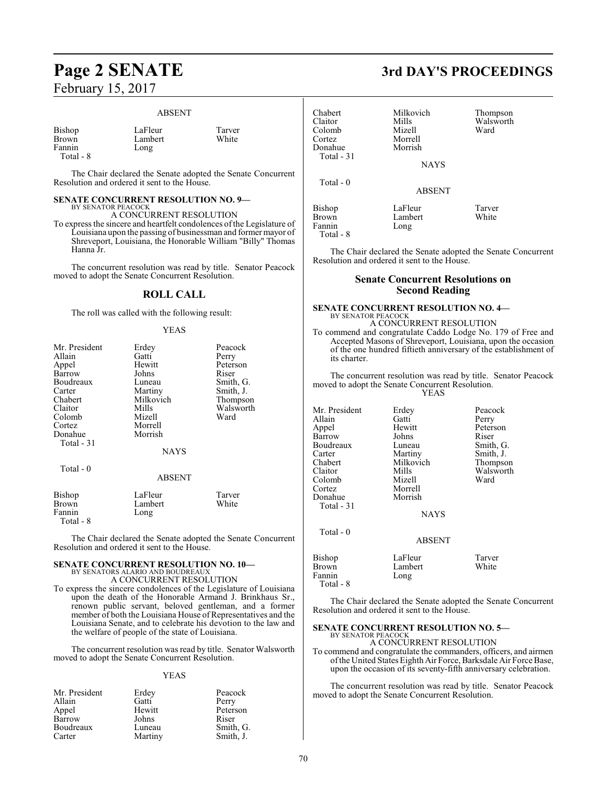# February 15, 2017

#### ABSENT

| Bishop    | LaFleur | Tarver |
|-----------|---------|--------|
| Brown     | Lambert | White  |
| Fannin    | Long    |        |
| Total - 8 |         |        |

The Chair declared the Senate adopted the Senate Concurrent Resolution and ordered it sent to the House.

#### **SENATE CONCURRENT RESOLUTION NO. 9—** BY SENATOR PEACOCK

A CONCURRENT RESOLUTION

To express the sincere and heartfelt condolences ofthe Legislature of Louisiana upon the passing of businessman and former mayor of Shreveport, Louisiana, the Honorable William "Billy" Thomas Hanna Jr.

The concurrent resolution was read by title. Senator Peacock moved to adopt the Senate Concurrent Resolution.

### **ROLL CALL**

The roll was called with the following result:

### YEAS

| Mr. President | Erdey         | Peacock   |
|---------------|---------------|-----------|
| Allain        | Gatti         | Perry     |
| Appel         | Hewitt        | Peterson  |
| Barrow        | Johns         | Riser     |
| Boudreaux     | Luneau        | Smith, G. |
| Carter        | Martiny       | Smith, J. |
| Chabert       | Milkovich     | Thompson  |
| Claitor       | Mills         | Walsworth |
| Colomb        | Mizell        | Ward      |
| Cortez        | Morrell       |           |
| Donahue       | Morrish       |           |
| Total - 31    |               |           |
|               | <b>NAYS</b>   |           |
|               |               |           |
| Total - 0     | <b>ABSENT</b> |           |
| Bishop        | LaFleur       | Tarver    |
| Brown         | Lambert       | White     |
| Fannin        | Long          |           |
| Total - 8     |               |           |

The Chair declared the Senate adopted the Senate Concurrent Resolution and ordered it sent to the House.

#### **SENATE CONCURRENT RESOLUTION NO. 10—** BY SENATORS ALARIO AND BOUDREAUX

A CONCURRENT RESOLUTION

To express the sincere condolences of the Legislature of Louisiana upon the death of the Honorable Armand J. Brinkhaus Sr., renown public servant, beloved gentleman, and a former member of both the Louisiana House of Representatives and the Louisiana Senate, and to celebrate his devotion to the law and the welfare of people of the state of Louisiana.

The concurrent resolution was read by title. Senator Walsworth moved to adopt the Senate Concurrent Resolution.

### YEAS

| Mr. President | Erdey   | Peacock   |
|---------------|---------|-----------|
| Allain        | Gatti   | Perry     |
| Appel         | Hewitt  | Peterson  |
| Barrow        | Johns   | Riser     |
| Boudreaux     | Luneau  | Smith, G. |
| Carter        | Martiny | Smith, J. |

### **Page 2 SENATE 3rd DAY'S PROCEEDINGS**

| Chabert<br>Claitor<br>Colomb<br>Cortez<br>Donahue<br>Total $-31$ | Milkovich<br>Mills<br>Mizell<br>Morrell<br>Morrish<br><b>NAYS</b> | Thompson<br>Walsworth<br>Ward |
|------------------------------------------------------------------|-------------------------------------------------------------------|-------------------------------|
| Total $-0$                                                       | <b>ABSENT</b>                                                     |                               |
| Bishop<br><b>Brown</b><br>Fannin                                 | LaFleur<br>Lambert<br>Long                                        | Tarver<br>White               |

Total - 8

The Chair declared the Senate adopted the Senate Concurrent Resolution and ordered it sent to the House.

### **Senate Concurrent Resolutions on Second Reading**

#### **SENATE CONCURRENT RESOLUTION NO. 4—** BY SENATOR PEACOCK

A CONCURRENT RESOLUTION To commend and congratulate Caddo Lodge No. 179 of Free and Accepted Masons of Shreveport, Louisiana, upon the occasion of the one hundred fiftieth anniversary of the establishment of its charter.

The concurrent resolution was read by title. Senator Peacock moved to adopt the Senate Concurrent Resolution.  $Y$ 

| リンパル |
|------|
|------|

| Mr. President<br>Allain<br>Appel<br>Barrow<br>Boudreaux<br>Carter<br>Chabert<br>Claitor<br>Colomb<br>Cortez<br>Donahue<br>Total $-31$ | Erdey<br>Gatti<br>Hewitt<br>Johns<br>Luneau<br>Martiny<br>Milkovich<br>Mills<br>Mizell<br>Morrell<br>Morrish<br><b>NAYS</b> | Peacock<br>Perry<br>Peterson<br>Riser<br>Smith, G.<br>Smith, J.<br>Thompson<br>Walsworth<br>Ward |
|---------------------------------------------------------------------------------------------------------------------------------------|-----------------------------------------------------------------------------------------------------------------------------|--------------------------------------------------------------------------------------------------|
| $Total - 0$                                                                                                                           | <b>ABSENT</b>                                                                                                               |                                                                                                  |
| Bishop<br><b>Brown</b><br>Fannin<br>Total - 8                                                                                         | LaFleur<br>Lambert<br>Long                                                                                                  | Tarver<br>White                                                                                  |

The Chair declared the Senate adopted the Senate Concurrent Resolution and ordered it sent to the House.

### **SENATE CONCURRENT RESOLUTION NO. 5—**

BY SENATOR PEACOCK A CONCURRENT RESOLUTION

To commend and congratulate the commanders, officers, and airmen ofthe United States Eighth Air Force, Barksdale Air Force Base, upon the occasion of its seventy-fifth anniversary celebration.

The concurrent resolution was read by title. Senator Peacock moved to adopt the Senate Concurrent Resolution.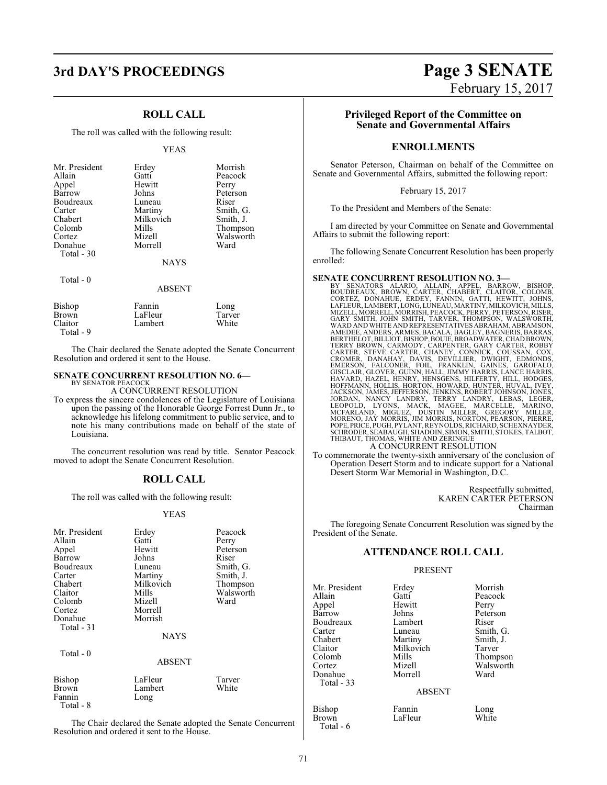### **3rd DAY'S PROCEEDINGS Page 3 SENATE**

### **ROLL CALL**

The roll was called with the following result:

### YEAS

| Mr. President           | Erdey                 | Morrish   |
|-------------------------|-----------------------|-----------|
| Allain                  | Gatti                 | Peacock   |
| Appel                   | Hewitt                | Perry     |
| Barrow                  | Johns                 | Peterson  |
| Boudreaux               | Luneau                | Riser     |
| Carter                  | Martiny               | Smith, G. |
| Chabert                 | Milkovich             | Smith, J. |
| Colomb                  | Mills                 | Thompson  |
| Cortez                  | Mizell                | Walsworth |
| Donahue                 | Morrell               | Ward      |
| Total - 30<br>Total - 0 | <b>NAYS</b><br>ABSENT |           |

| Bishop<br>Brown<br>Claitor<br>Total - 9 | Fannin<br>LaFleur<br>Lambert | Long<br>Tarver<br>White |
|-----------------------------------------|------------------------------|-------------------------|
|                                         |                              |                         |

The Chair declared the Senate adopted the Senate Concurrent Resolution and ordered it sent to the House.

### **SENATE CONCURRENT RESOLUTION NO. 6—**

BY SENATOR PEACOCK A CONCURRENT RESOLUTION

To express the sincere condolences of the Legislature of Louisiana upon the passing of the Honorable George Forrest Dunn Jr., to acknowledge his lifelong commitment to public service, and to note his many contributions made on behalf of the state of Louisiana.

The concurrent resolution was read by title. Senator Peacock moved to adopt the Senate Concurrent Resolution.

### **ROLL CALL**

The roll was called with the following result:

### YEAS

| Mr. President | Erdey     | Peacock   |  |  |  |
|---------------|-----------|-----------|--|--|--|
| Allain        | Gatti     | Perry     |  |  |  |
| Appel         | Hewitt    | Peterson  |  |  |  |
| Barrow        | Johns     | Riser     |  |  |  |
| Boudreaux     | Luneau    | Smith, G. |  |  |  |
| Carter        | Martiny   | Smith, J. |  |  |  |
| Chabert       | Milkovich | Thompson  |  |  |  |
| Claitor       | Mills     | Walsworth |  |  |  |
| Colomb        | Mizell    | Ward      |  |  |  |
| Cortez        | Morrell   |           |  |  |  |
| Donahue       | Morrish   |           |  |  |  |
| Total - 31    |           |           |  |  |  |
| <b>NAYS</b>   |           |           |  |  |  |
| Total - 0     |           |           |  |  |  |
| ABSENT        |           |           |  |  |  |
| Bishop        | LaFleur   | Tarver    |  |  |  |
| Brown         | Lambert   | White     |  |  |  |
| Fannin        | Long      |           |  |  |  |
| Total - 8     |           |           |  |  |  |

The Chair declared the Senate adopted the Senate Concurrent Resolution and ordered it sent to the House.

### **Privileged Report of the Committee on Senate and Governmental Affairs**

### **ENROLLMENTS**

Senator Peterson, Chairman on behalf of the Committee on Senate and Governmental Affairs, submitted the following report:

February 15, 2017

To the President and Members of the Senate:

I am directed by your Committee on Senate and Governmental Affairs to submit the following report:

The following Senate Concurrent Resolution has been properly enrolled:

**SENATE CONCURRENT RESOLUTION NO. 3—**<br>BY SENATORS ALARIO, ALLAIN, APPEL, BARROW, BISHOP,<br>BOUDREAUX, BROWN, CARTER, CHABERT, CLAITOR, COLOMB,<br>CORTEZ, DONAHUE, ERDEY, FANNIN, GATTI, HEWITT, JOHNS,<br>LAFLEUR,LAMBERT,LONG,LUNEAU AMEDEE, ANDERS, ARMES, BACALA, BAGLEY, BAGNERIS, BARRAS,<br>BERTHELOT, BILLIOT, BISHOP, BOUIE, BROADWATER, CHAD BROWN,<br>TERRY BROWN, CARMODY, CARPENTER, GARY CARTER, ROBBY<br>CARTER, STEVE CARTER, CHANEY, CONNICK, COUSSAN, COX,<br>C JACKSON, JAMES, JEFFERSON, JENKINS, ROBERT JOHNSON, JONES,<br>JORDAN, NANCY LANDRY, TERRY LANDRY, LEBAS, LEGOPOLD, LYONS, MACK, MAGEE, MARCELLE, MARINO,<br>LEOPOLD, LYONS, MACK, MAGEE, MARCELLE, MARINO,<br>MCFARLAND, MIGUEZ, DUSTIN THIBAUT, THOMAS, WHITE AND ZERINGUE A CONCURRENT RESOLUTION

To commemorate the twenty-sixth anniversary of the conclusion of Operation Desert Storm and to indicate support for a National Desert Storm War Memorial in Washington, D.C.

> Respectfully submitted, KAREN CARTER PETERSON Chairman

The foregoing Senate Concurrent Resolution was signed by the President of the Senate.

### **ATTENDANCE ROLL CALL**

### PRESENT

| Mr. President     |                                        | Morrish         |  |
|-------------------|----------------------------------------|-----------------|--|
|                   | Erdey                                  |                 |  |
| Allain            | Gatti                                  | Peacock         |  |
| Appel             | Hewitt                                 | Perry           |  |
| Barrow            | Johns                                  | Peterson        |  |
| Boudreaux         | Lambert<br>Riser                       |                 |  |
| Carter            | Luneau                                 | Smith, G.       |  |
| Chabert           | Martiny                                | Smith, J.       |  |
| Claitor           | Milkovich                              | Tarver          |  |
| Colomb            | Mills                                  | Thompson        |  |
| Cortez            | Mizell                                 | Walsworth       |  |
| Donahue           | Morrell                                | Ward            |  |
| Total $-33$       |                                        |                 |  |
|                   | <b>ABSENT</b>                          |                 |  |
| <b>Bishop</b>     | Fannin                                 | Long            |  |
| $D_{\text{norm}}$ | $L_{\alpha}$ $E1_{\alpha\alpha\alpha}$ | W <sub>th</sub> |  |

#### ABSENT

| Bishop    | Fannin  | Long  |
|-----------|---------|-------|
| Brown     | LaFleur | White |
| Total - 6 |         |       |